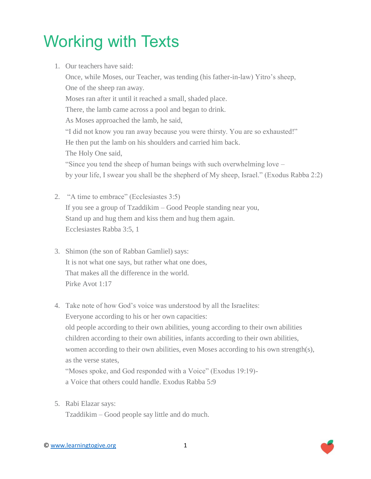## Working with Texts

1. Our teachers have said:

Once, while Moses, our Teacher, was tending (his father-in-law) Yitro's sheep, One of the sheep ran away. Moses ran after it until it reached a small, shaded place. There, the lamb came across a pool and began to drink. As Moses approached the lamb, he said, "I did not know you ran away because you were thirsty. You are so exhausted!" He then put the lamb on his shoulders and carried him back. The Holy One said, "Since you tend the sheep of human beings with such overwhelming love – by your life, I swear you shall be the shepherd of My sheep, Israel." (Exodus Rabba 2:2)

- 2. "A time to embrace" (Ecclesiastes 3:5) If you see a group of Tzaddikim – Good People standing near you, Stand up and hug them and kiss them and hug them again. Ecclesiastes Rabba 3:5, 1
- 3. Shimon (the son of Rabban Gamliel) says: It is not what one says, but rather what one does, That makes all the difference in the world. Pirke Avot 1:17
- 4. Take note of how God's voice was understood by all the Israelites: Everyone according to his or her own capacities: old people according to their own abilities, young according to their own abilities children according to their own abilities, infants according to their own abilities, women according to their own abilities, even Moses according to his own strength(s), as the verse states, "Moses spoke, and God responded with a Voice" (Exodus 19:19) a Voice that others could handle. Exodus Rabba 5:9
- 5. Rabi Elazar says:

Tzaddikim – Good people say little and do much.